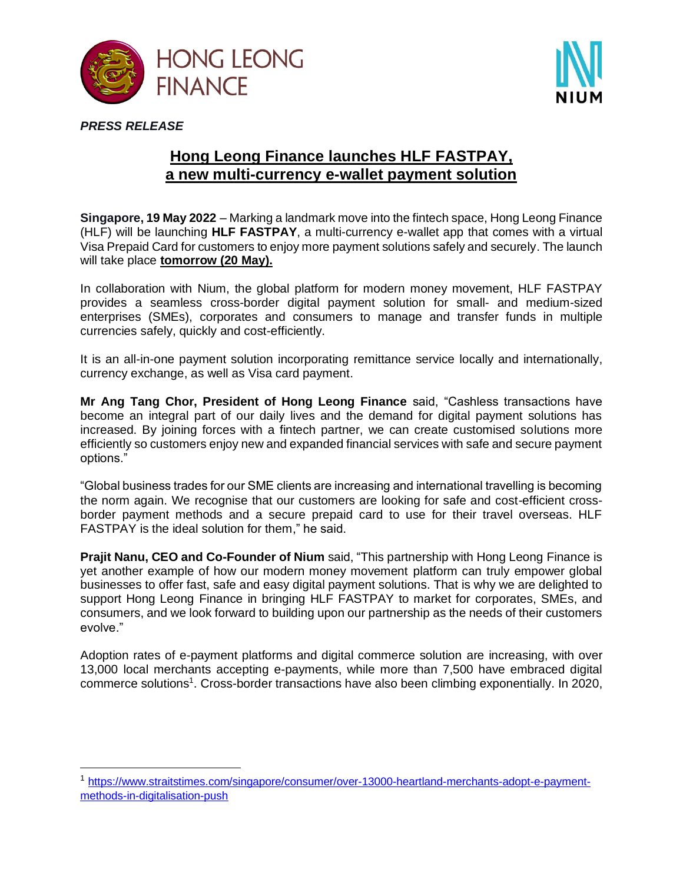



*PRESS RELEASE*

# **Hong Leong Finance launches HLF FASTPAY, a new multi-currency e-wallet payment solution**

**Singapore, 19 May 2022** – Marking a landmark move into the fintech space, Hong Leong Finance (HLF) will be launching **HLF FASTPAY**, a multi-currency e-wallet app that comes with a virtual Visa Prepaid Card for customers to enjoy more payment solutions safely and securely. The launch will take place **tomorrow (20 May).**

In collaboration with Nium, the global platform for modern money movement, HLF FASTPAY provides a seamless cross-border digital payment solution for small- and medium-sized enterprises (SMEs), corporates and consumers to manage and transfer funds in multiple currencies safely, quickly and cost-efficiently.

It is an all-in-one payment solution incorporating remittance service locally and internationally, currency exchange, as well as Visa card payment.

**Mr Ang Tang Chor, President of Hong Leong Finance** said, "Cashless transactions have become an integral part of our daily lives and the demand for digital payment solutions has increased. By joining forces with a fintech partner, we can create customised solutions more efficiently so customers enjoy new and expanded financial services with safe and secure payment options."

"Global business trades for our SME clients are increasing and international travelling is becoming the norm again. We recognise that our customers are looking for safe and cost-efficient crossborder payment methods and a secure prepaid card to use for their travel overseas. HLF FASTPAY is the ideal solution for them," he said.

**Prajit Nanu, CEO and Co-Founder of Nium** said, "This partnership with Hong Leong Finance is yet another example of how our modern money movement platform can truly empower global businesses to offer fast, safe and easy digital payment solutions. That is why we are delighted to support Hong Leong Finance in bringing HLF FASTPAY to market for corporates, SMEs, and consumers, and we look forward to building upon our partnership as the needs of their customers evolve."

Adoption rates of e-payment platforms and digital commerce solution are increasing, with over 13,000 local merchants accepting e-payments, while more than 7,500 have embraced digital commerce solutions<sup>1</sup>. Cross-border transactions have also been climbing exponentially. In 2020,

<sup>1</sup> [https://www.straitstimes.com/singapore/consumer/over-13000-heartland-merchants-adopt-e-payment](https://www.straitstimes.com/singapore/consumer/over-13000-heartland-merchants-adopt-e-payment-methods-in-digitalisation-push)[methods-in-digitalisation-push](https://www.straitstimes.com/singapore/consumer/over-13000-heartland-merchants-adopt-e-payment-methods-in-digitalisation-push)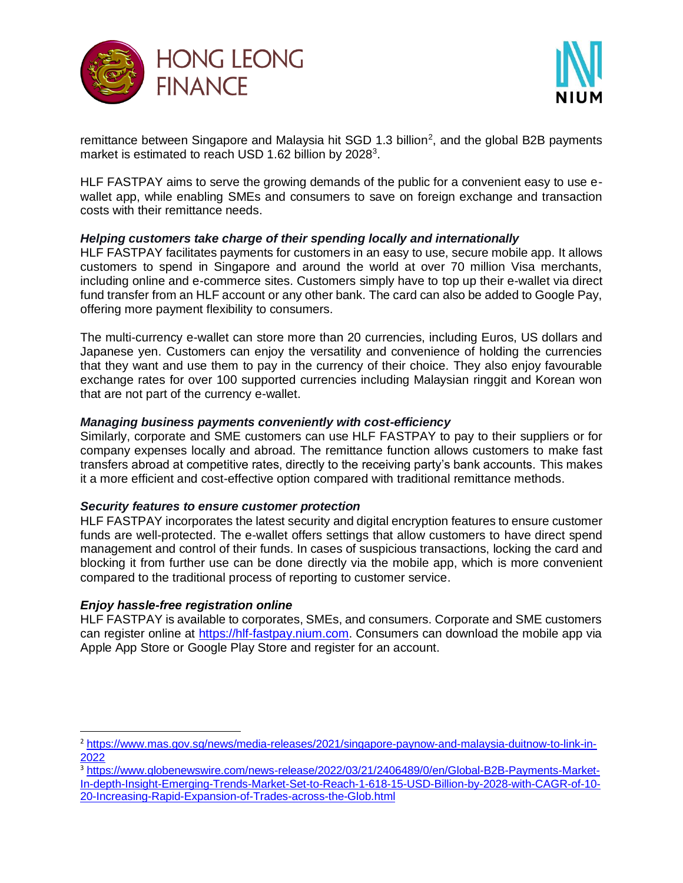



remittance between Singapore and Malaysia hit SGD 1.3 billion<sup>2</sup>, and the global B2B payments market is estimated to reach USD 1.62 billion by 2028<sup>3</sup>.

HLF FASTPAY aims to serve the growing demands of the public for a convenient easy to use ewallet app, while enabling SMEs and consumers to save on foreign exchange and transaction costs with their remittance needs.

## *Helping customers take charge of their spending locally and internationally*

HLF FASTPAY facilitates payments for customers in an easy to use, secure mobile app. It allows customers to spend in Singapore and around the world at over 70 million Visa merchants, including online and e-commerce sites. Customers simply have to top up their e-wallet via direct fund transfer from an HLF account or any other bank. The card can also be added to Google Pay, offering more payment flexibility to consumers.

The multi-currency e-wallet can store more than 20 currencies, including Euros, US dollars and Japanese yen. Customers can enjoy the versatility and convenience of holding the currencies that they want and use them to pay in the currency of their choice. They also enjoy favourable exchange rates for over 100 supported currencies including Malaysian ringgit and Korean won that are not part of the currency e-wallet.

### *Managing business payments conveniently with cost-efficiency*

Similarly, corporate and SME customers can use HLF FASTPAY to pay to their suppliers or for company expenses locally and abroad. The remittance function allows customers to make fast transfers abroad at competitive rates, directly to the receiving party's bank accounts. This makes it a more efficient and cost-effective option compared with traditional remittance methods.

### *Security features to ensure customer protection*

HLF FASTPAY incorporates the latest security and digital encryption features to ensure customer funds are well-protected. The e-wallet offers settings that allow customers to have direct spend management and control of their funds. In cases of suspicious transactions, locking the card and blocking it from further use can be done directly via the mobile app, which is more convenient compared to the traditional process of reporting to customer service.

### *Enjoy hassle-free registration online*

HLF FASTPAY is available to corporates, SMEs, and consumers. Corporate and SME customers can register online at [https://hlf-fastpay.nium.com.](https://hlf-fastpay.nium.com/) Consumers can download the mobile app via Apple App Store or Google Play Store and register for an account.

<sup>2</sup> [https://www.mas.gov.sg/news/media-releases/2021/singapore-paynow-and-malaysia-duitnow-to-link-in-](https://www.mas.gov.sg/news/media-releases/2021/singapore-paynow-and-malaysia-duitnow-to-link-in-2022)[2022](https://www.mas.gov.sg/news/media-releases/2021/singapore-paynow-and-malaysia-duitnow-to-link-in-2022)

<sup>&</sup>lt;sup>3</sup> [https://www.globenewswire.com/news-release/2022/03/21/2406489/0/en/Global-B2B-Payments-Market-](https://www.globenewswire.com/news-release/2022/03/21/2406489/0/en/Global-B2B-Payments-Market-In-depth-Insight-Emerging-Trends-Market-Set-to-Reach-1-618-15-USD-Billion-by-2028-with-CAGR-of-10-20-Increasing-Rapid-Expansion-of-Trades-across-the-Glob.html)[In-depth-Insight-Emerging-Trends-Market-Set-to-Reach-1-618-15-USD-Billion-by-2028-with-CAGR-of-10-](https://www.globenewswire.com/news-release/2022/03/21/2406489/0/en/Global-B2B-Payments-Market-In-depth-Insight-Emerging-Trends-Market-Set-to-Reach-1-618-15-USD-Billion-by-2028-with-CAGR-of-10-20-Increasing-Rapid-Expansion-of-Trades-across-the-Glob.html) [20-Increasing-Rapid-Expansion-of-Trades-across-the-Glob.html](https://www.globenewswire.com/news-release/2022/03/21/2406489/0/en/Global-B2B-Payments-Market-In-depth-Insight-Emerging-Trends-Market-Set-to-Reach-1-618-15-USD-Billion-by-2028-with-CAGR-of-10-20-Increasing-Rapid-Expansion-of-Trades-across-the-Glob.html)